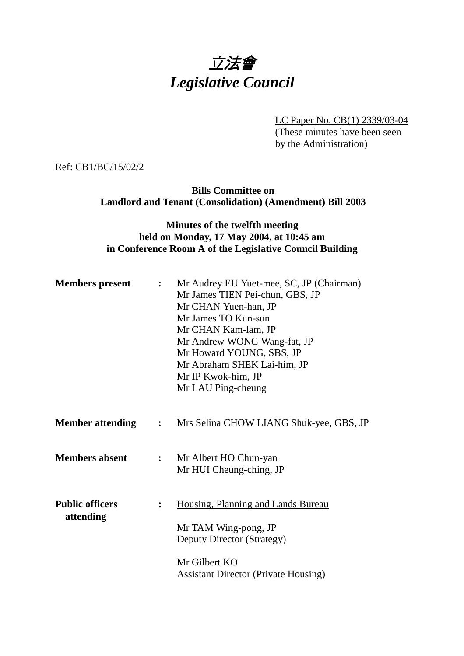## 立法會 *Legislative Council*

LC Paper No. CB(1) 2339/03-04

(These minutes have been seen by the Administration)

Ref: CB1/BC/15/02/2

**Bills Committee on Landlord and Tenant (Consolidation) (Amendment) Bill 2003**

## **Minutes of the twelfth meeting held on Monday, 17 May 2004, at 10:45 am in Conference Room A of the Legislative Council Building**

| <b>Members</b> present              | $\ddot{\cdot}$ | Mr Audrey EU Yuet-mee, SC, JP (Chairman)<br>Mr James TIEN Pei-chun, GBS, JP<br>Mr CHAN Yuen-han, JP<br>Mr James TO Kun-sun<br>Mr CHAN Kam-lam, JP<br>Mr Andrew WONG Wang-fat, JP<br>Mr Howard YOUNG, SBS, JP<br>Mr Abraham SHEK Lai-him, JP<br>Mr IP Kwok-him, JP<br>Mr LAU Ping-cheung |
|-------------------------------------|----------------|-----------------------------------------------------------------------------------------------------------------------------------------------------------------------------------------------------------------------------------------------------------------------------------------|
| <b>Member attending</b>             | $\mathbf{L}$   | Mrs Selina CHOW LIANG Shuk-yee, GBS, JP                                                                                                                                                                                                                                                 |
| <b>Members absent</b>               | $\ddot{\cdot}$ | Mr Albert HO Chun-yan<br>Mr HUI Cheung-ching, JP                                                                                                                                                                                                                                        |
| <b>Public officers</b><br>attending | $\ddot{\cdot}$ | Housing, Planning and Lands Bureau<br>Mr TAM Wing-pong, JP<br>Deputy Director (Strategy)                                                                                                                                                                                                |
|                                     |                | Mr Gilbert KO<br><b>Assistant Director (Private Housing)</b>                                                                                                                                                                                                                            |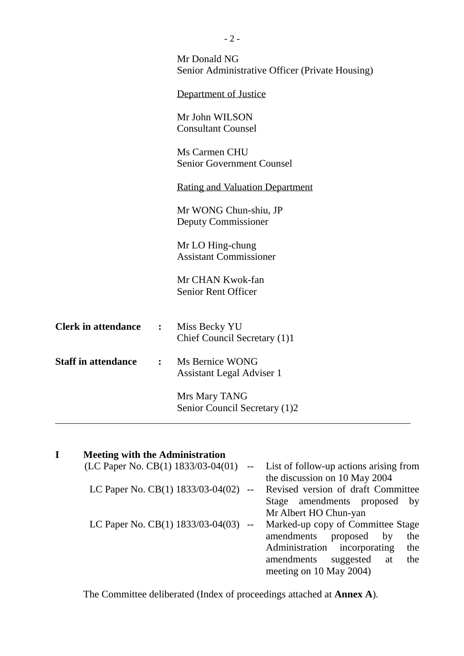|                            |                | Mr Donald NG<br>Senior Administrative Officer (Private Housing) |
|----------------------------|----------------|-----------------------------------------------------------------|
|                            |                | Department of Justice                                           |
|                            |                | Mr John WILSON<br><b>Consultant Counsel</b>                     |
|                            |                | Ms Carmen CHU<br><b>Senior Government Counsel</b>               |
|                            |                | <b>Rating and Valuation Department</b>                          |
|                            |                | Mr WONG Chun-shiu, JP<br>Deputy Commissioner                    |
|                            |                | Mr LO Hing-chung<br><b>Assistant Commissioner</b>               |
|                            |                | Mr CHAN Kwok-fan<br><b>Senior Rent Officer</b>                  |
| <b>Clerk in attendance</b> | $\ddot{\cdot}$ | Miss Becky YU<br>Chief Council Secretary (1)1                   |
| <b>Staff in attendance</b> | $\ddot{\cdot}$ | Ms Bernice WONG<br><b>Assistant Legal Adviser 1</b>             |
|                            |                | Mrs Mary TANG<br>Senior Council Secretary (1)2                  |
|                            |                |                                                                 |

| I | <b>Meeting with the Administration</b>   |       |                                        |
|---|------------------------------------------|-------|----------------------------------------|
|   | (LC Paper No. CB $(1)$ 1833/03-04 $(01)$ |       | List of follow-up actions arising from |
|   |                                          |       | the discussion on 10 May 2004          |
|   | LC Paper No. CB(1) 1833/03-04(02)        | $- -$ | Revised version of draft Committee     |
|   |                                          |       | Stage amendments proposed by           |
|   |                                          |       | Mr Albert HO Chun-yan                  |
|   | LC Paper No. CB(1) $1833/03 - 04(03)$ -- |       | Marked-up copy of Committee Stage      |
|   |                                          |       | amendments<br>proposed<br>by<br>the    |
|   |                                          |       | Administration incorporating<br>the    |
|   |                                          |       | amendments<br>suggested<br>the<br>at   |
|   |                                          |       | meeting on 10 May 2004)                |
|   |                                          |       |                                        |

The Committee deliberated (Index of proceedings attached at **Annex A**).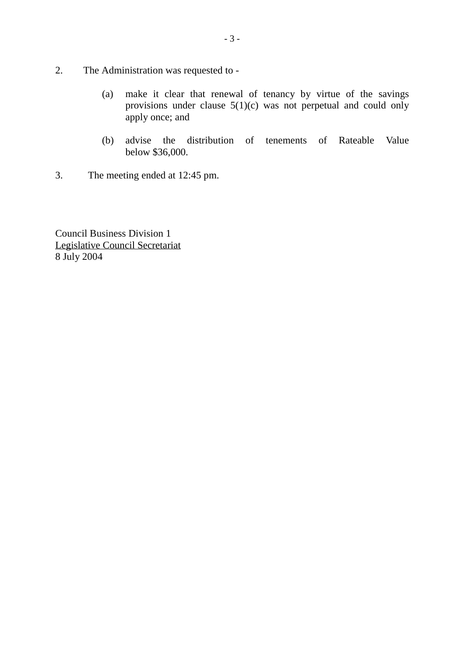- 2. The Administration was requested to
	- (a) make it clear that renewal of tenancy by virtue of the savings provisions under clause 5(1)(c) was not perpetual and could only apply once; and
	- (b) advise the distribution of tenements of Rateable Value below \$36,000.
- 3. The meeting ended at 12:45 pm.

Council Business Division 1 Legislative Council Secretariat 8 July 2004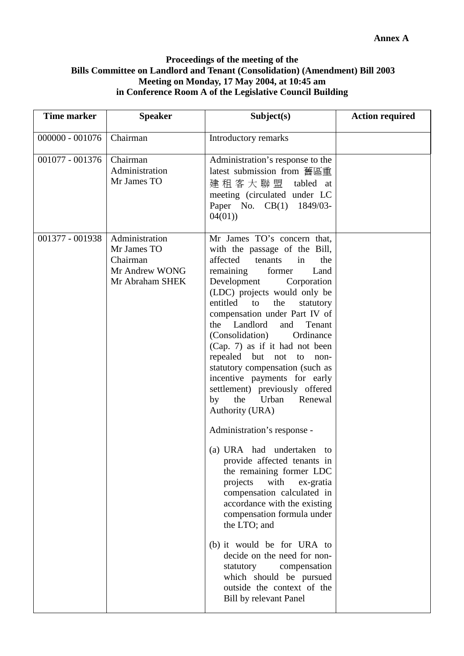## **Proceedings of the meeting of the Bills Committee on Landlord and Tenant (Consolidation) (Amendment) Bill 2003 Meeting on Monday, 17 May 2004, at 10:45 am in Conference Room A of the Legislative Council Building**

| <b>Time marker</b> | <b>Speaker</b>                                                                 | Subject(s)                                                                                                                                                                                                                                                                                                                                                                                                                                                                                                                                                                                        | <b>Action required</b> |
|--------------------|--------------------------------------------------------------------------------|---------------------------------------------------------------------------------------------------------------------------------------------------------------------------------------------------------------------------------------------------------------------------------------------------------------------------------------------------------------------------------------------------------------------------------------------------------------------------------------------------------------------------------------------------------------------------------------------------|------------------------|
| $000000 - 001076$  | Chairman                                                                       | Introductory remarks                                                                                                                                                                                                                                                                                                                                                                                                                                                                                                                                                                              |                        |
| 001077 - 001376    | Chairman<br>Administration<br>Mr James TO                                      | Administration's response to the<br>latest submission from 舊區重<br>建租客大聯盟<br>tabled at<br>meeting (circulated under LC<br>Paper No. CB(1) 1849/03-<br>04(01)                                                                                                                                                                                                                                                                                                                                                                                                                                       |                        |
| 001377 - 001938    | Administration<br>Mr James TO<br>Chairman<br>Mr Andrew WONG<br>Mr Abraham SHEK | Mr James TO's concern that,<br>with the passage of the Bill,<br>affected<br>tenants<br>in<br>the<br>remaining<br>former<br>Land<br>Development<br>Corporation<br>(LDC) projects would only be<br>entitled<br>the<br>to<br>statutory<br>compensation under Part IV of<br>Landlord<br>Tenant<br>and<br>the<br>(Consolidation)<br>Ordinance<br>(Cap. 7) as if it had not been<br>repealed but not<br>to<br>non-<br>statutory compensation (such as<br>incentive payments for early<br>settlement) previously offered<br>the Urban<br>by<br>Renewal<br>Authority (URA)<br>Administration's response - |                        |
|                    |                                                                                | (a) URA had undertaken to<br>provide affected tenants in<br>the remaining former LDC<br>with<br>projects<br>ex-gratia<br>compensation calculated in<br>accordance with the existing<br>compensation formula under<br>the LTO; and<br>(b) it would be for URA to<br>decide on the need for non-<br>statutory<br>compensation<br>which should be pursued<br>outside the context of the<br>Bill by relevant Panel                                                                                                                                                                                    |                        |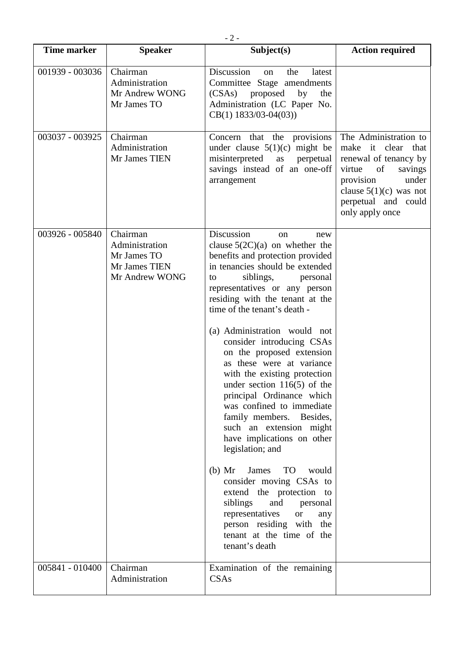| $-2-$              |                                                                                                  |                                                                                                                                                                                                                                                                                                                                                                                                                                                                                                                                                                                                                                                                                                                                                                                                                                                                                                |                                                                                                                                                                                             |  |
|--------------------|--------------------------------------------------------------------------------------------------|------------------------------------------------------------------------------------------------------------------------------------------------------------------------------------------------------------------------------------------------------------------------------------------------------------------------------------------------------------------------------------------------------------------------------------------------------------------------------------------------------------------------------------------------------------------------------------------------------------------------------------------------------------------------------------------------------------------------------------------------------------------------------------------------------------------------------------------------------------------------------------------------|---------------------------------------------------------------------------------------------------------------------------------------------------------------------------------------------|--|
| <b>Time marker</b> | <b>Speaker</b>                                                                                   | Subject(s)                                                                                                                                                                                                                                                                                                                                                                                                                                                                                                                                                                                                                                                                                                                                                                                                                                                                                     | <b>Action required</b>                                                                                                                                                                      |  |
| 001939 - 003036    | Chairman<br>Administration<br>Mr Andrew WONG<br>Mr James TO                                      | Discussion<br>the<br>latest<br>on<br>Committee Stage amendments<br>(CSAs)<br>proposed<br>by<br>the<br>Administration (LC Paper No.<br>$CB(1)$ 1833/03-04(03))                                                                                                                                                                                                                                                                                                                                                                                                                                                                                                                                                                                                                                                                                                                                  |                                                                                                                                                                                             |  |
| 003037 - 003925    | Chairman<br>Administration<br>Mr James TIEN                                                      | Concern<br>that the provisions<br>under clause $5(1)(c)$ might be<br>misinterpreted<br>as<br>perpetual<br>savings instead of an one-off<br>arrangement                                                                                                                                                                                                                                                                                                                                                                                                                                                                                                                                                                                                                                                                                                                                         | The Administration to<br>make it clear that<br>renewal of tenancy by<br>virtue<br>of<br>savings<br>under<br>provision<br>clause $5(1)(c)$ was not<br>perpetual and could<br>only apply once |  |
| 003926 - 005840    | $\overline{\text{Chairman}}$<br>Administration<br>Mr James TO<br>Mr James TIEN<br>Mr Andrew WONG | Discussion<br>new<br><sub>on</sub><br>clause $5(2C)(a)$ on whether the<br>benefits and protection provided<br>in tenancies should be extended<br>siblings,<br>personal<br>to<br>representatives or any person<br>residing with the tenant at the<br>time of the tenant's death -<br>(a) Administration would not<br>consider introducing CSAs<br>on the proposed extension<br>as these were at variance<br>with the existing protection<br>under section $116(5)$ of the<br>principal Ordinance which<br>was confined to immediate<br>family members. Besides,<br>such an extension might<br>have implications on other<br>legislation; and<br>$(b)$ Mr<br>James<br><b>TO</b><br>would<br>consider moving CSAs to<br>extend the protection to<br>siblings<br>and<br>personal<br>representatives<br><b>or</b><br>any<br>person residing with the<br>tenant at the time of the<br>tenant's death |                                                                                                                                                                                             |  |
| 005841 - 010400    | Chairman<br>Administration                                                                       | Examination of the remaining<br>CSAs                                                                                                                                                                                                                                                                                                                                                                                                                                                                                                                                                                                                                                                                                                                                                                                                                                                           |                                                                                                                                                                                             |  |
|                    |                                                                                                  |                                                                                                                                                                                                                                                                                                                                                                                                                                                                                                                                                                                                                                                                                                                                                                                                                                                                                                |                                                                                                                                                                                             |  |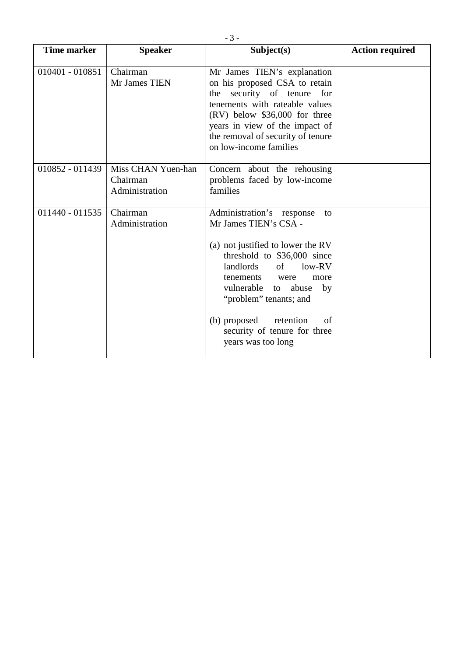| <b>Time marker</b> | <b>Speaker</b>                                   | Subject(s)                                                                                                                                                                                                                                                                                                                               | <b>Action required</b> |
|--------------------|--------------------------------------------------|------------------------------------------------------------------------------------------------------------------------------------------------------------------------------------------------------------------------------------------------------------------------------------------------------------------------------------------|------------------------|
| 010401 - 010851    | Chairman<br>Mr James TIEN                        | Mr James TIEN's explanation<br>on his proposed CSA to retain<br>the security of tenure for<br>tenements with rateable values<br>$(RV)$ below \$36,000 for three<br>years in view of the impact of<br>the removal of security of tenure<br>on low-income families                                                                         |                        |
| 010852 - 011439    | Miss CHAN Yuen-han<br>Chairman<br>Administration | Concern about the rehousing<br>problems faced by low-income<br>families                                                                                                                                                                                                                                                                  |                        |
| 011440 - 011535    | Chairman<br>Administration                       | Administration's response<br>to<br>Mr James TIEN's CSA -<br>(a) not justified to lower the RV<br>threshold to \$36,000 since<br>landlords<br>of<br>$low-RV$<br>tenements<br>were<br>more<br>vulnerable to abuse<br>by<br>"problem" tenants; and<br>(b) proposed<br>retention<br>of<br>security of tenure for three<br>years was too long |                        |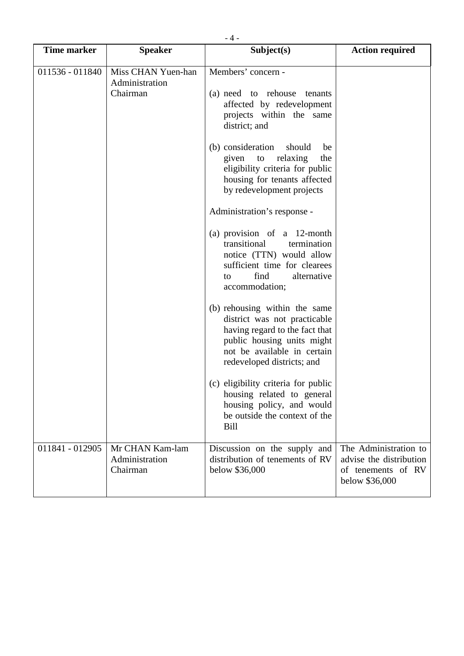| <b>Time marker</b> | <b>Speaker</b>                                   | Subject(s)                                                                                                                                                                                           | <b>Action required</b>                                                                   |
|--------------------|--------------------------------------------------|------------------------------------------------------------------------------------------------------------------------------------------------------------------------------------------------------|------------------------------------------------------------------------------------------|
| 011536 - 011840    | Miss CHAN Yuen-han<br>Administration<br>Chairman | Members' concern -<br>(a) need to rehouse tenants<br>affected by redevelopment<br>projects within the same<br>district; and                                                                          |                                                                                          |
|                    |                                                  | (b) consideration<br>should<br>be<br>relaxing<br>given<br>to<br>the<br>eligibility criteria for public<br>housing for tenants affected<br>by redevelopment projects                                  |                                                                                          |
|                    |                                                  | Administration's response -<br>(a) provision of a 12-month<br>transitional<br>termination<br>notice (TTN) would allow<br>sufficient time for clearees<br>find<br>alternative<br>to<br>accommodation; |                                                                                          |
|                    |                                                  | (b) rehousing within the same<br>district was not practicable<br>having regard to the fact that<br>public housing units might<br>not be available in certain<br>redeveloped districts; and           |                                                                                          |
|                    |                                                  | (c) eligibility criteria for public<br>housing related to general<br>housing policy, and would<br>be outside the context of the<br><b>Bill</b>                                                       |                                                                                          |
| 011841 - 012905    | Mr CHAN Kam-lam<br>Administration<br>Chairman    | Discussion on the supply and<br>distribution of tenements of RV<br>below \$36,000                                                                                                                    | The Administration to<br>advise the distribution<br>of tenements of RV<br>below \$36,000 |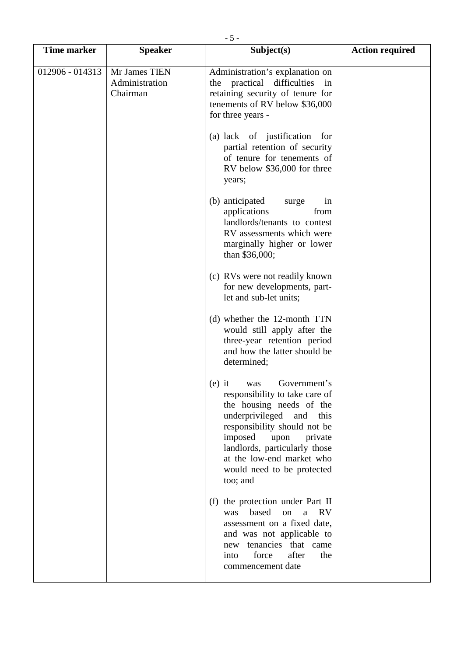| <b>Time marker</b> | <b>Speaker</b>                              | Subject(s)                                                                                                                                                                                                                                                                                            | <b>Action required</b> |
|--------------------|---------------------------------------------|-------------------------------------------------------------------------------------------------------------------------------------------------------------------------------------------------------------------------------------------------------------------------------------------------------|------------------------|
| 012906 - 014313    | Mr James TIEN<br>Administration<br>Chairman | Administration's explanation on<br>practical difficulties<br>the<br>in<br>retaining security of tenure for<br>tenements of RV below \$36,000<br>for three years -                                                                                                                                     |                        |
|                    |                                             | (a) lack of justification for<br>partial retention of security<br>of tenure for tenements of<br>RV below \$36,000 for three<br>years;                                                                                                                                                                 |                        |
|                    |                                             | (b) anticipated<br>surge<br>in<br>applications<br>from<br>landlords/tenants to contest<br>RV assessments which were<br>marginally higher or lower<br>than \$36,000;                                                                                                                                   |                        |
|                    |                                             | (c) RVs were not readily known<br>for new developments, part-<br>let and sub-let units;                                                                                                                                                                                                               |                        |
|                    |                                             | (d) whether the 12-month TTN<br>would still apply after the<br>three-year retention period<br>and how the latter should be<br>determined;                                                                                                                                                             |                        |
|                    |                                             | Government's<br>$(e)$ it<br>was<br>responsibility to take care of<br>the housing needs of the<br>underprivileged<br>and<br>this<br>responsibility should not be<br>imposed<br>upon<br>private<br>landlords, particularly those<br>at the low-end market who<br>would need to be protected<br>too; and |                        |
|                    |                                             | (f) the protection under Part II<br>based<br>on<br>RV<br>was<br>a<br>assessment on a fixed date,<br>and was not applicable to<br>tenancies that came<br>new<br>force<br>after<br>the<br>into<br>commencement date                                                                                     |                        |